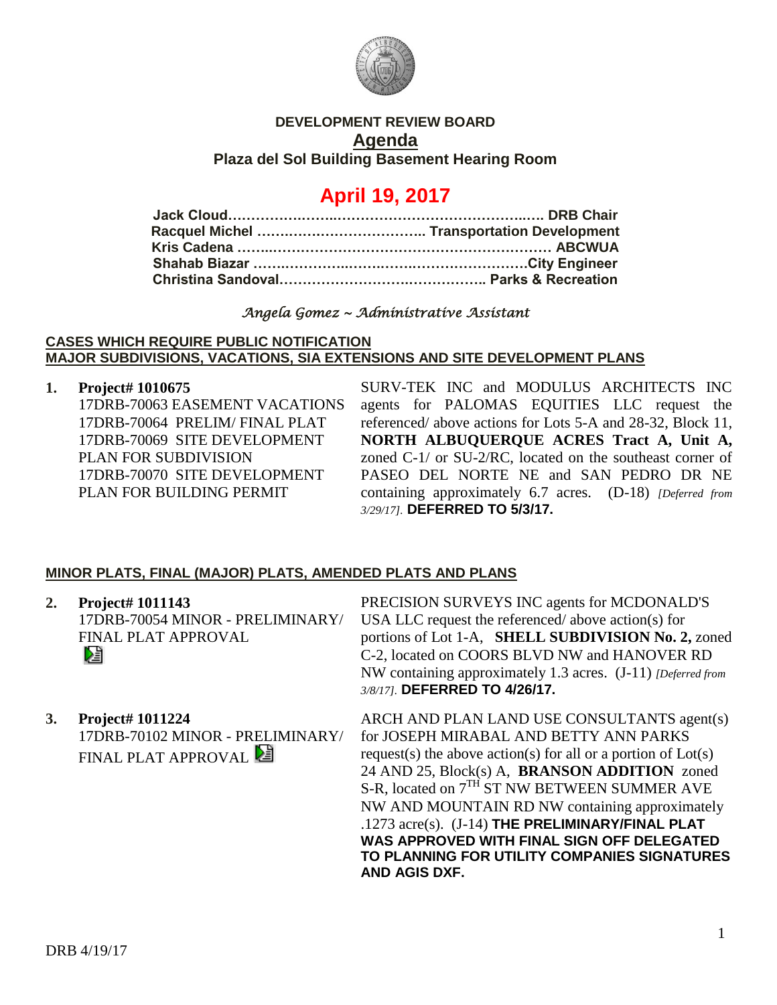

## **DEVELOPMENT REVIEW BOARD Agenda**

**Plaza del Sol Building Basement Hearing Room**

# **April 19, 2017**

## *Angela Gomez ~ Administrative Assistant*

#### **CASES WHICH REQUIRE PUBLIC NOTIFICATION MAJOR SUBDIVISIONS, VACATIONS, SIA EXTENSIONS AND SITE DEVELOPMENT PLANS**

**1. Project# 1010675**

17DRB-70063 EASEMENT VACATIONS 17DRB-70064 PRELIM/ FINAL PLAT 17DRB-70069 SITE DEVELOPMENT PLAN FOR SUBDIVISION 17DRB-70070 SITE DEVELOPMENT PLAN FOR BUILDING PERMIT

SURV-TEK INC and MODULUS ARCHITECTS INC agents for PALOMAS EQUITIES LLC request the referenced/ above actions for Lots 5-A and 28-32, Block 11, **NORTH ALBUQUERQUE ACRES Tract A, Unit A,** zoned C-1/ or SU-2/RC, located on the southeast corner of PASEO DEL NORTE NE and SAN PEDRO DR NE containing approximately 6.7 acres. (D-18) *[Deferred from 3/29/17].* **DEFERRED TO 5/3/17.** 

## **MINOR PLATS, FINAL (MAJOR) PLATS, AMENDED PLATS AND PLANS**

| 2. | <b>Project# 1011143</b>          |
|----|----------------------------------|
|    | 17DRB-70054 MINOR - PRELIMINARY/ |
|    | <b>FINAL PLAT APPROVAL</b>       |
|    | Dà                               |

**3. Project# 1011224** 17DRB-70102 MINOR - PRELIMINARY/ FINAL PLAT APPROVAL **E** 

PRECISION SURVEYS INC agents for MCDONALD'S USA LLC request the referenced/ above action(s) for portions of Lot 1-A, **SHELL SUBDIVISION No. 2,** zoned C-2, located on COORS BLVD NW and HANOVER RD NW containing approximately 1.3 acres. (J-11) *[Deferred from 3/8/17].* **DEFERRED TO 4/26/17.**

ARCH AND PLAN LAND USE CONSULTANTS agent(s) for JOSEPH MIRABAL AND BETTY ANN PARKS request(s) the above action(s) for all or a portion of  $Lot(s)$ 24 AND 25, Block(s) A, **BRANSON ADDITION** zoned S-R, located on  $7<sup>TH</sup>$  ST NW BETWEEN SUMMER AVE NW AND MOUNTAIN RD NW containing approximately .1273 acre(s). (J-14) **THE PRELIMINARY/FINAL PLAT WAS APPROVED WITH FINAL SIGN OFF DELEGATED TO PLANNING FOR UTILITY COMPANIES SIGNATURES AND AGIS DXF.**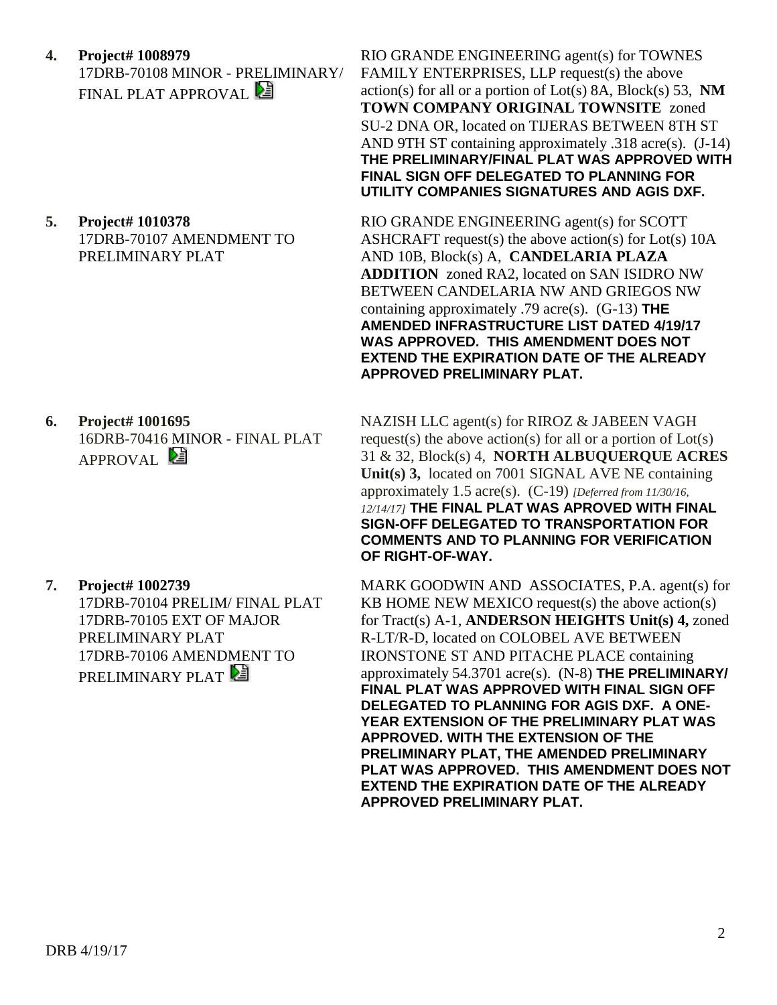**4. Project# 1008979** 17DRB-70108 MINOR - PRELIMINARY/ FINAL PLAT APPROVAL

**5. Project# 1010378** 17DRB-70107 AMENDMENT TO PRELIMINARY PLAT

**6. Project# 1001695** 16DRB-70416 MINOR - FINAL PLAT APPROVAL<sup>2</sup>

**7. Project# 1002739** 17DRB-70104 PRELIM/ FINAL PLAT 17DRB-70105 EXT OF MAJOR PRELIMINARY PLAT 17DRB-70106 AMENDMENT TO PRELIMINARY PLAT

RIO GRANDE ENGINEERING agent(s) for TOWNES FAMILY ENTERPRISES, LLP request(s) the above action(s) for all or a portion of Lot(s) 8A, Block(s) 53, **NM TOWN COMPANY ORIGINAL TOWNSITE** zoned SU-2 DNA OR, located on TIJERAS BETWEEN 8TH ST AND 9TH ST containing approximately .318 acre(s). (J-14) **THE PRELIMINARY/FINAL PLAT WAS APPROVED WITH FINAL SIGN OFF DELEGATED TO PLANNING FOR UTILITY COMPANIES SIGNATURES AND AGIS DXF.**

RIO GRANDE ENGINEERING agent(s) for SCOTT ASHCRAFT request(s) the above action(s) for Lot(s) 10A AND 10B, Block(s) A, **CANDELARIA PLAZA ADDITION** zoned RA2, located on SAN ISIDRO NW BETWEEN CANDELARIA NW AND GRIEGOS NW containing approximately .79 acre(s). (G-13) **THE AMENDED INFRASTRUCTURE LIST DATED 4/19/17 WAS APPROVED. THIS AMENDMENT DOES NOT EXTEND THE EXPIRATION DATE OF THE ALREADY APPROVED PRELIMINARY PLAT.**

NAZISH LLC agent(s) for RIROZ & JABEEN VAGH request(s) the above action(s) for all or a portion of  $Lot(s)$ 31 & 32, Block(s) 4, **NORTH ALBUQUERQUE ACRES Unit(s) 3,** located on 7001 SIGNAL AVE NE containing approximately 1.5 acre(s). (C-19) *[Deferred from 11/30/16, 12/14/17]* **THE FINAL PLAT WAS APROVED WITH FINAL SIGN-OFF DELEGATED TO TRANSPORTATION FOR COMMENTS AND TO PLANNING FOR VERIFICATION OF RIGHT-OF-WAY.**

MARK GOODWIN AND ASSOCIATES, P.A. agent(s) for KB HOME NEW MEXICO request(s) the above action(s) for Tract(s) A-1, **ANDERSON HEIGHTS Unit(s) 4,** zoned R-LT/R-D, located on COLOBEL AVE BETWEEN IRONSTONE ST AND PITACHE PLACE containing approximately 54.3701 acre(s). (N-8) **THE PRELIMINARY/ FINAL PLAT WAS APPROVED WITH FINAL SIGN OFF DELEGATED TO PLANNING FOR AGIS DXF. A ONE-YEAR EXTENSION OF THE PRELIMINARY PLAT WAS APPROVED. WITH THE EXTENSION OF THE PRELIMINARY PLAT, THE AMENDED PRELIMINARY PLAT WAS APPROVED. THIS AMENDMENT DOES NOT EXTEND THE EXPIRATION DATE OF THE ALREADY APPROVED PRELIMINARY PLAT.**